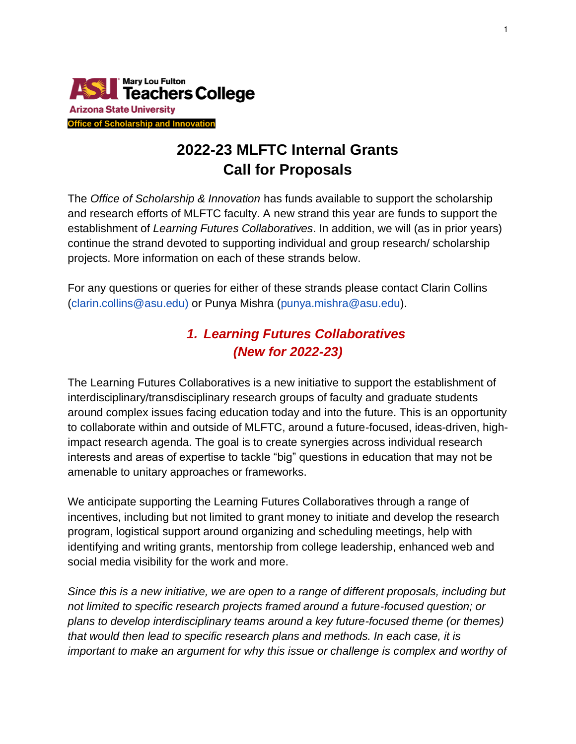

# **2022-23 MLFTC Internal Grants Call for Proposals**

The *Office of Scholarship & Innovation* has funds available to support the scholarship and research efforts of MLFTC faculty. A new strand this year are funds to support the establishment of *Learning Futures Collaboratives*. In addition, we will (as in prior years) continue the strand devoted to supporting individual and group research/ scholarship projects. More information on each of these strands below.

For any questions or queries for either of these strands please contact Clarin Collins (clarin.collins@asu.edu) or Punya Mishra (punya.mishra@asu.edu).

# *1. Learning Futures Collaboratives (New for 2022-23)*

The Learning Futures Collaboratives is a new initiative to support the establishment of interdisciplinary/transdisciplinary research groups of faculty and graduate students around complex issues facing education today and into the future. This is an opportunity to collaborate within and outside of MLFTC, around a future-focused, ideas-driven, highimpact research agenda. The goal is to create synergies across individual research interests and areas of expertise to tackle "big" questions in education that may not be amenable to unitary approaches or frameworks.

We anticipate supporting the Learning Futures Collaboratives through a range of incentives, including but not limited to grant money to initiate and develop the research program, logistical support around organizing and scheduling meetings, help with identifying and writing grants, mentorship from college leadership, enhanced web and social media visibility for the work and more.

*Since this is a new initiative, we are open to a range of different proposals, including but not limited to specific research projects framed around a future-focused question; or plans to develop interdisciplinary teams around a key future-focused theme (or themes) that would then lead to specific research plans and methods. In each case, it is important to make an argument for why this issue or challenge is complex and worthy of*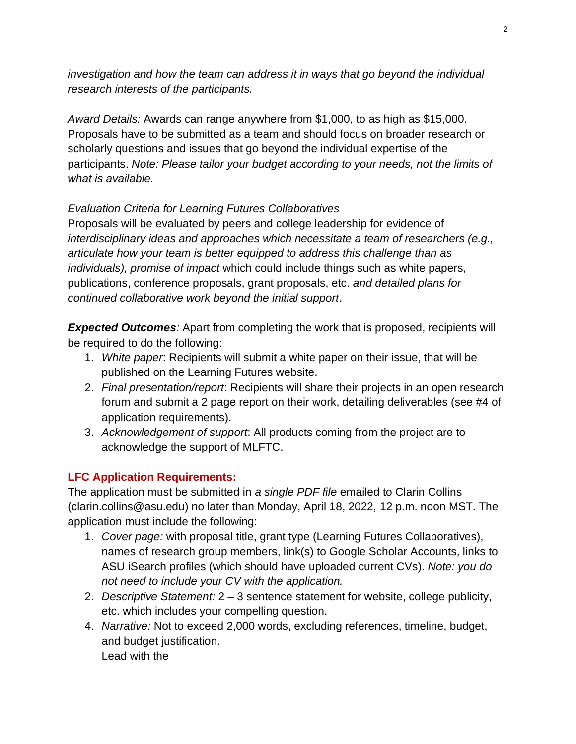*investigation and how the team can address it in ways that go beyond the individual research interests of the participants.* 

*Award Details:* Awards can range anywhere from \$1,000, to as high as \$15,000. Proposals have to be submitted as a team and should focus on broader research or scholarly questions and issues that go beyond the individual expertise of the participants. *Note: Please tailor your budget according to your needs, not the limits of what is available.* 

# *Evaluation Criteria for Learning Futures Collaboratives*

Proposals will be evaluated by peers and college leadership for evidence of *interdisciplinary ideas and approaches which necessitate a team of researchers (e.g., articulate how your team is better equipped to address this challenge than as individuals), promise of impact* which could include things such as white papers, publications, conference proposals, grant proposals, etc. *and detailed plans for continued collaborative work beyond the initial support*.

**Expected Outcomes**: Apart from completing the work that is proposed, recipients will be required to do the following:

- 1. *White paper*: Recipients will submit a white paper on their issue, that will be published on the Learning Futures website.
- 2. *Final presentation/report*: Recipients will share their projects in an open research forum and submit a 2 page report on their work, detailing deliverables (see #4 of application requirements).
- 3. *Acknowledgement of support*: All products coming from the project are to acknowledge the support of MLFTC.

# **LFC Application Requirements:**

The application must be submitted in *a single PDF file* emailed to Clarin Collins (clarin.collins@asu.edu) no later than Monday, April 18, 2022, 12 p.m. noon MST. The application must include the following:

- 1. *Cover page:* with proposal title, grant type (Learning Futures Collaboratives), names of research group members, link(s) to Google Scholar Accounts, links to ASU iSearch profiles (which should have uploaded current CVs). *Note: you do not need to include your CV with the application.*
- 2. *Descriptive Statement:* 2 3 sentence statement for website, college publicity, etc. which includes your compelling question.
- 4. *Narrative:* Not to exceed 2,000 words, excluding references, timeline, budget, and budget justification. Lead with the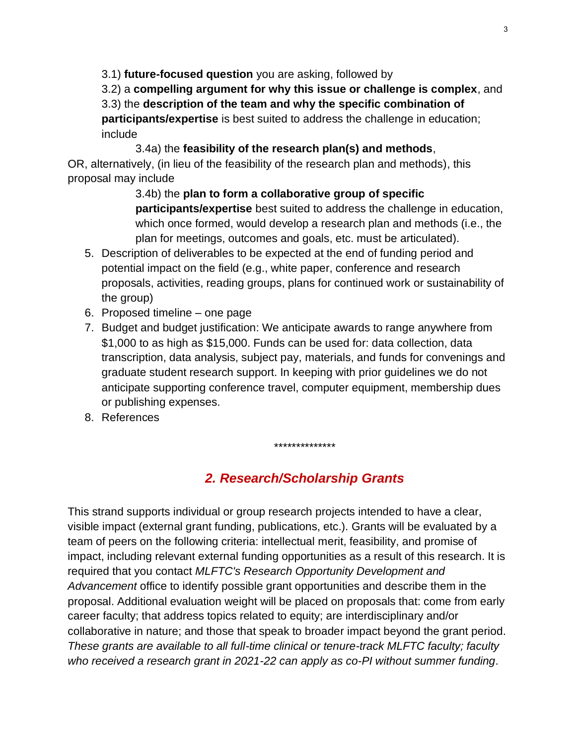3.1) **future-focused question** you are asking, followed by

3.2) a **compelling argument for why this issue or challenge is complex**, and 3.3) the **description of the team and why the specific combination of participants/expertise** is best suited to address the challenge in education;

include

3.4a) the **feasibility of the research plan(s) and methods**,

OR, alternatively, (in lieu of the feasibility of the research plan and methods), this proposal may include

> 3.4b) the **plan to form a collaborative group of specific participants/expertise** best suited to address the challenge in education, which once formed, would develop a research plan and methods (i.e., the plan for meetings, outcomes and goals, etc. must be articulated).

- 5. Description of deliverables to be expected at the end of funding period and potential impact on the field (e.g., white paper, conference and research proposals, activities, reading groups, plans for continued work or sustainability of the group)
- 6. Proposed timeline one page
- 7. Budget and budget justification: We anticipate awards to range anywhere from \$1,000 to as high as \$15,000. Funds can be used for: data collection, data transcription, data analysis, subject pay, materials, and funds for convenings and graduate student research support. In keeping with prior guidelines we do not anticipate supporting conference travel, computer equipment, membership dues or publishing expenses.
- 8. References

# *2. Research/Scholarship Grants*

\*\*\*\*\*\*\*\*\*\*\*\*\*\*

This strand supports individual or group research projects intended to have a clear, visible impact (external grant funding, publications, etc.). Grants will be evaluated by a team of peers on the following criteria: intellectual merit, feasibility, and promise of impact, including relevant external funding opportunities as a result of this research. It is required that you contact *MLFTC's Research Opportunity Development and Advancement* office to identify possible grant opportunities and describe them in the proposal. Additional evaluation weight will be placed on proposals that: come from early career faculty; that address topics related to equity; are interdisciplinary and/or collaborative in nature; and those that speak to broader impact beyond the grant period. *These grants are available to all full-time clinical or tenure-track MLFTC faculty; faculty who received a research grant in 2021-22 can apply as co-PI without summer funding*.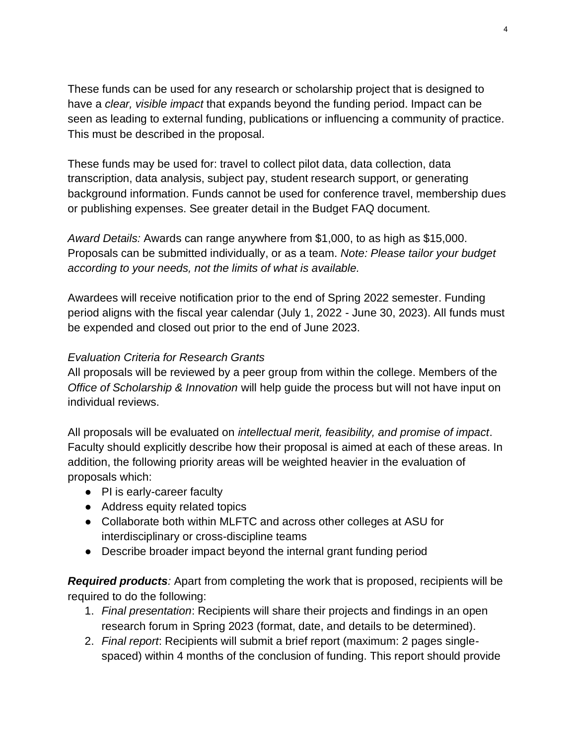These funds can be used for any research or scholarship project that is designed to have a *clear, visible impact* that expands beyond the funding period. Impact can be seen as leading to external funding, publications or influencing a community of practice. This must be described in the proposal.

These funds may be used for: travel to collect pilot data, data collection, data transcription, data analysis, subject pay, student research support, or generating background information. Funds cannot be used for conference travel, membership dues or publishing expenses. See greater detail in the Budget FAQ document.

*Award Details:* Awards can range anywhere from \$1,000, to as high as \$15,000. Proposals can be submitted individually, or as a team. *Note: Please tailor your budget according to your needs, not the limits of what is available.* 

Awardees will receive notification prior to the end of Spring 2022 semester. Funding period aligns with the fiscal year calendar (July 1, 2022 - June 30, 2023). All funds must be expended and closed out prior to the end of June 2023.

## *Evaluation Criteria for Research Grants*

All proposals will be reviewed by a peer group from within the college. Members of the *Office of Scholarship & Innovation* will help guide the process but will not have input on individual reviews.

All proposals will be evaluated on *intellectual merit, feasibility, and promise of impact*. Faculty should explicitly describe how their proposal is aimed at each of these areas. In addition, the following priority areas will be weighted heavier in the evaluation of proposals which:

- PI is early-career faculty
- Address equity related topics
- Collaborate both within MLFTC and across other colleges at ASU for interdisciplinary or cross-discipline teams
- Describe broader impact beyond the internal grant funding period

**Required products**: Apart from completing the work that is proposed, recipients will be required to do the following:

- 1. *Final presentation*: Recipients will share their projects and findings in an open research forum in Spring 2023 (format, date, and details to be determined).
- 2. *Final report*: Recipients will submit a brief report (maximum: 2 pages singlespaced) within 4 months of the conclusion of funding. This report should provide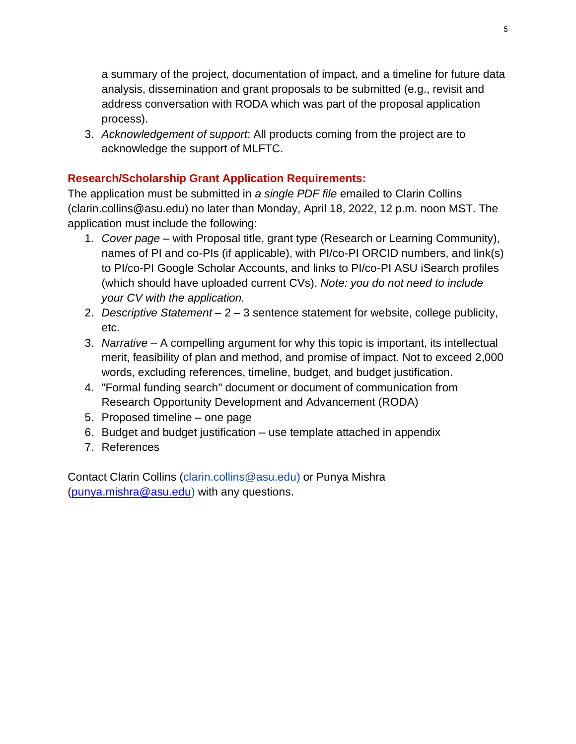a summary of the project, documentation of impact, and a timeline for future data analysis, dissemination and grant proposals to be submitted (e.g., revisit and address conversation with RODA which was part of the proposal application process).

3. *Acknowledgement of support*: All products coming from the project are to acknowledge the support of MLFTC.

# **Research/Scholarship Grant Application Requirements:**

The application must be submitted in *a single PDF file* emailed to Clarin Collins (clarin.collins@asu.edu) no later than Monday, April 18, 2022, 12 p.m. noon MST. The application must include the following:

- 1. *Cover page*  with Proposal title, grant type (Research or Learning Community), names of PI and co-PIs (if applicable), with PI/co-PI ORCID numbers, and link(s) to PI/co-PI Google Scholar Accounts, and links to PI/co-PI ASU iSearch profiles (which should have uploaded current CVs). *Note: you do not need to include your CV with the application.*
- 2. *Descriptive Statement*  2 3 sentence statement for website, college publicity, etc.
- 3. *Narrative*  A compelling argument for why this topic is important, its intellectual merit, feasibility of plan and method, and promise of impact. Not to exceed 2,000 words, excluding references, timeline, budget, and budget justification.
- 4. "Formal funding search" document or document of communication from Research Opportunity Development and Advancement (RODA)
- 5. Proposed timeline one page
- 6. Budget and budget justification use template attached in appendix
- 7. References

Contact Clarin Collins (clarin.collins@asu.edu) or Punya Mishra [\(punya.mishra@asu.edu\)](mailto:punya.mishra@asu.edu) with any questions.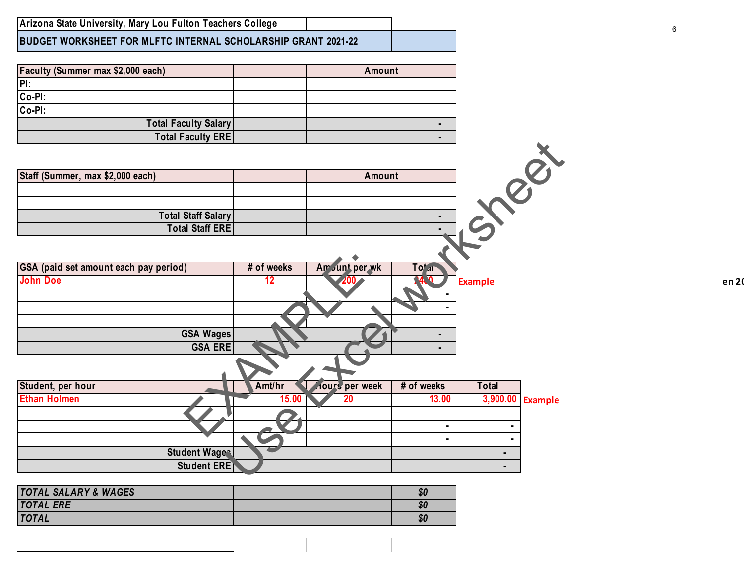**BUDGET WORKSHEET FOR MLFTC INTERNAL SCHOLARSHIP GRANT 2021-22**

| Faculty (Summer max \$2,000 each) | Amount |
|-----------------------------------|--------|
| $\overline{P}$                    |        |
| Co-PI:                            |        |
| Co-PI:                            |        |
| <b>Total Faculty Salary</b>       |        |
| <b>Total Faculty ERE</b>          |        |

| GSA (paid set amount each pay period) | # of weeks      | Am Junt per wk        | Totar       |                |                  |       |
|---------------------------------------|-----------------|-----------------------|-------------|----------------|------------------|-------|
| <b>John Doe</b>                       | 12 <sup>°</sup> |                       | <u>ገፈ ባ</u> | <b>Example</b> |                  | en 20 |
|                                       |                 |                       |             |                |                  |       |
|                                       |                 |                       |             |                |                  |       |
|                                       |                 |                       |             |                |                  |       |
| GSA Wages                             |                 |                       |             |                |                  |       |
| <b>GSA ERE</b>                        |                 |                       |             |                |                  |       |
|                                       |                 |                       |             |                |                  |       |
| Student, per hour                     | Amt/hr          | <b>Hours</b> per week | # of weeks  | <b>Total</b>   |                  |       |
| <b>Ethan Holmen</b>                   | 15.00           | 20                    | 13.00       |                | 3,900.00 Example |       |
|                                       |                 |                       |             |                |                  |       |
|                                       |                 |                       |             |                |                  |       |
|                                       |                 |                       |             |                |                  |       |

|                                             |                       | $\blacksquare$     |                |                         |
|---------------------------------------------|-----------------------|--------------------|----------------|-------------------------|
| <b>Total Staff ERE</b>                      |                       | ۰.                 |                |                         |
|                                             |                       |                    |                |                         |
|                                             |                       |                    |                |                         |
| # of weeks                                  | Am Junt per wk        | To <sup>t</sup> ar |                |                         |
| 12                                          | 200                   | 24.2               |                |                         |
|                                             |                       |                    |                |                         |
|                                             |                       |                    |                |                         |
|                                             |                       |                    |                |                         |
| <b>GSA Wages</b>                            |                       | ٠                  |                |                         |
|                                             |                       | $\blacksquare$     |                |                         |
|                                             |                       |                    |                |                         |
| Amt/hr                                      | <b>Aours</b> per week | # of weeks         | <b>Total</b>   |                         |
| 15.00                                       | 20                    | 13.00              | 3,900.00       | <b>Example</b>          |
|                                             |                       |                    |                |                         |
|                                             |                       |                    |                |                         |
|                                             |                       |                    |                |                         |
| <b>Student Wages</b>                        |                       |                    | $\blacksquare$ |                         |
| <b>Student ERE</b>                          |                       |                    | $\blacksquare$ |                         |
| <b>Total Staff Salary</b><br><b>GSA ERE</b> |                       |                    | Amount         | $Q^k$<br><b>Example</b> |

| <b>TOTAL SALARY &amp; WAGES</b> | \$0 |
|---------------------------------|-----|
| <b>TOTAL ERE</b>                | 80  |
| <b>TOTAL</b>                    | 80  |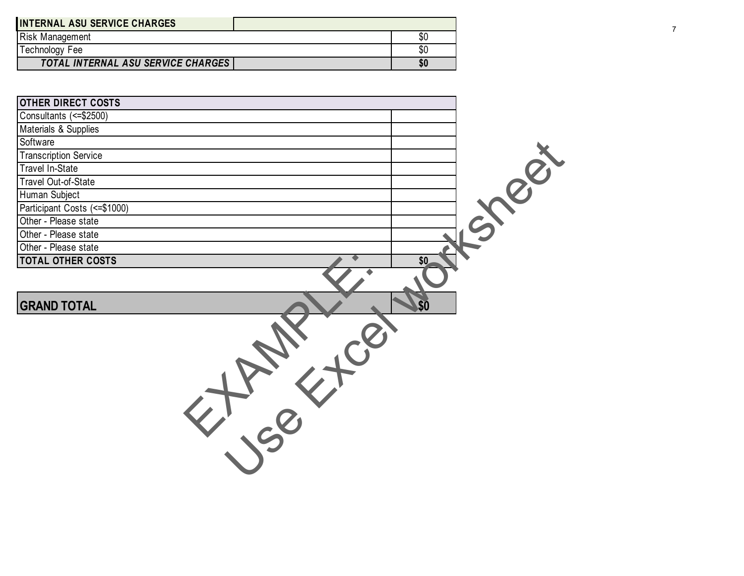| <b>INTERNAL ASU SERVICE CHARGES</b>       |     |
|-------------------------------------------|-----|
| <b>Risk Management</b>                    | \$0 |
| Technology Fee                            | \$0 |
| <b>TOTAL INTERNAL ASU SERVICE CHARGES</b> |     |

| <b>Risk Management</b>             | $\overline{60}$ |            | 7 |
|------------------------------------|-----------------|------------|---|
| <b>Technology Fee</b>              | $\sqrt{6}$      |            |   |
| TOTAL INTERNAL ASU SERVICE CHARGES | \$0             |            |   |
|                                    |                 |            |   |
|                                    |                 |            |   |
| OTHER DIRECT COSTS                 |                 |            |   |
| Consultants (<= \$2500)            |                 |            |   |
| Materials & Supplies               |                 |            |   |
| Software                           |                 |            |   |
| <b>Transcription Service</b>       |                 |            |   |
| <b>Travel In-State</b>             |                 |            |   |
| Travel Out-of-State                |                 |            |   |
| Human Subject                      |                 |            |   |
| Participant Costs (<= \$1000)      |                 |            |   |
| Other - Please state               |                 |            |   |
| Other - Please state               |                 | $1.5886 +$ |   |
| Other - Please state               |                 |            |   |
| <b>TOTAL OTHER COSTS</b>           | \$0             |            |   |
|                                    |                 |            |   |
|                                    |                 |            |   |
| <b>GRAND TOTAL</b>                 | \$0             |            |   |
| $\mathcal{C}^{(2)}$                |                 |            |   |
|                                    |                 |            |   |
|                                    |                 |            |   |
|                                    |                 |            |   |
|                                    |                 |            |   |
|                                    |                 |            |   |
|                                    |                 |            |   |
|                                    |                 |            |   |
|                                    |                 |            |   |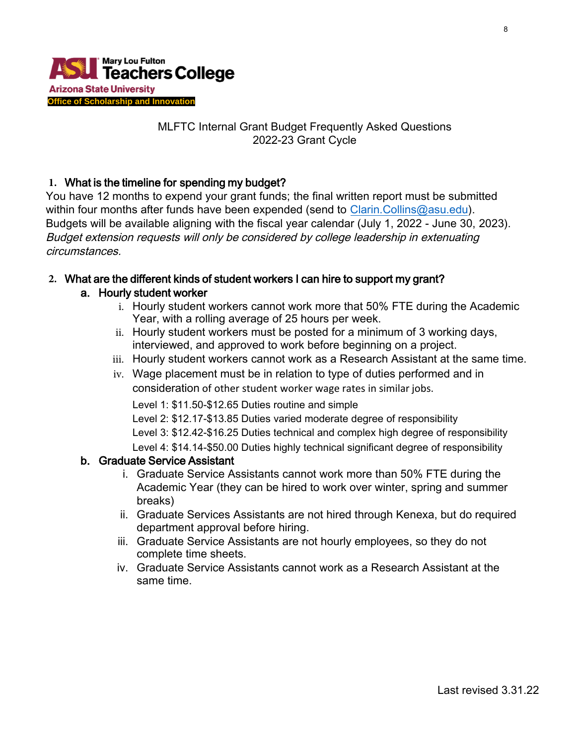

## MLFTC Internal Grant Budget Frequently Asked Questions 2022-23 Grant Cycle

## **1.** What is the timeline for spending my budget?

You have 12 months to expend your grant funds; the final written report must be submitted within four months after funds have been expended (send to [Clarin.Collins@asu.edu\)](mailto:Clarin.Collins@asu.edu). Budgets will be available aligning with the fiscal year calendar (July 1, 2022 - June 30, 2023). Budget extension requests will only be considered by college leadership in extenuating circumstances.

# **2.** What are the different kinds of student workers I can hire to support my grant?

#### a. Hourly student worker

- i. Hourly student workers cannot work more that 50% FTE during the Academic Year, with a rolling average of 25 hours per week.
- ii. Hourly student workers must be posted for a minimum of 3 working days, interviewed, and approved to work before beginning on a project.
- iii. Hourly student workers cannot work as a Research Assistant at the same time.
- iv. Wage placement must be in relation to type of duties performed and in consideration of other student worker wage rates in similar jobs.

Level 1: \$11.50-\$12.65 Duties routine and simple

Level 2: \$12.17-\$13.85 Duties varied moderate degree of responsibility

Level 3: \$12.42-\$16.25 Duties technical and complex high degree of responsibility

Level 4: \$14.14-\$50.00 Duties highly technical significant degree of responsibility

#### b. Graduate Service Assistant

- i. Graduate Service Assistants cannot work more than 50% FTE during the Academic Year (they can be hired to work over winter, spring and summer breaks)
- ii. Graduate Services Assistants are not hired through Kenexa, but do required department approval before hiring.
- iii. Graduate Service Assistants are not hourly employees, so they do not complete time sheets.
- iv. Graduate Service Assistants cannot work as a Research Assistant at the same time.